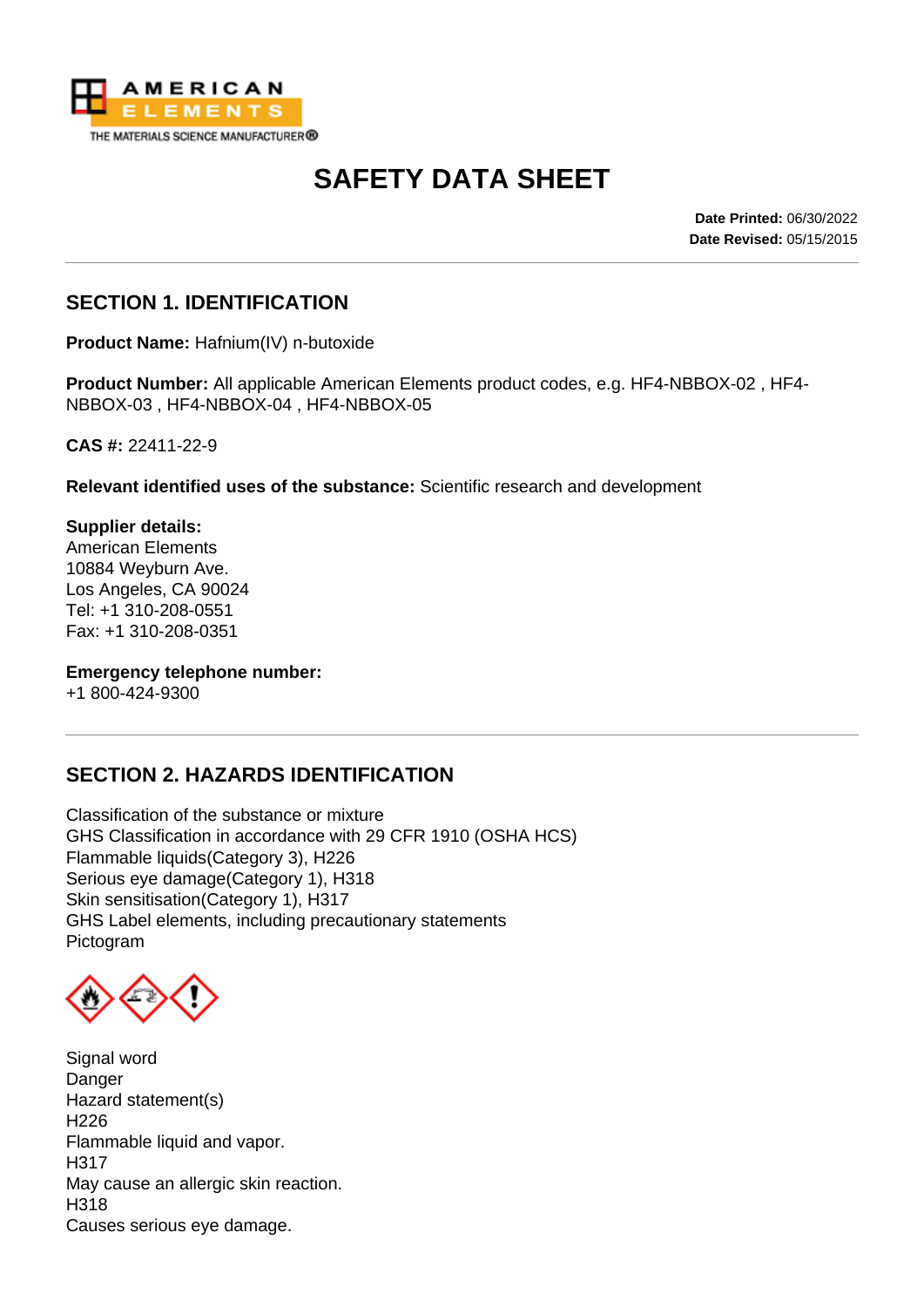

# **SAFETY DATA SHEET**

**Date Printed:** 06/30/2022 **Date Revised:** 05/15/2015

### **SECTION 1. IDENTIFICATION**

**Product Name:** Hafnium(IV) n-butoxide

**Product Number:** All applicable American Elements product codes, e.g. HF4-NBBOX-02 , HF4- NBBOX-03 , HF4-NBBOX-04 , HF4-NBBOX-05

**CAS #:** 22411-22-9

**Relevant identified uses of the substance:** Scientific research and development

**Supplier details:** American Elements 10884 Weyburn Ave. Los Angeles, CA 90024 Tel: +1 310-208-0551 Fax: +1 310-208-0351

**Emergency telephone number:**

+1 800-424-9300

#### **SECTION 2. HAZARDS IDENTIFICATION**

Classification of the substance or mixture GHS Classification in accordance with 29 CFR 1910 (OSHA HCS) Flammable liquids(Category 3), H226 Serious eye damage(Category 1), H318 Skin sensitisation(Category 1), H317 GHS Label elements, including precautionary statements Pictogram

Signal word **Danger** Hazard statement(s) H226 Flammable liquid and vapor. H317 May cause an allergic skin reaction. H318 Causes serious eye damage.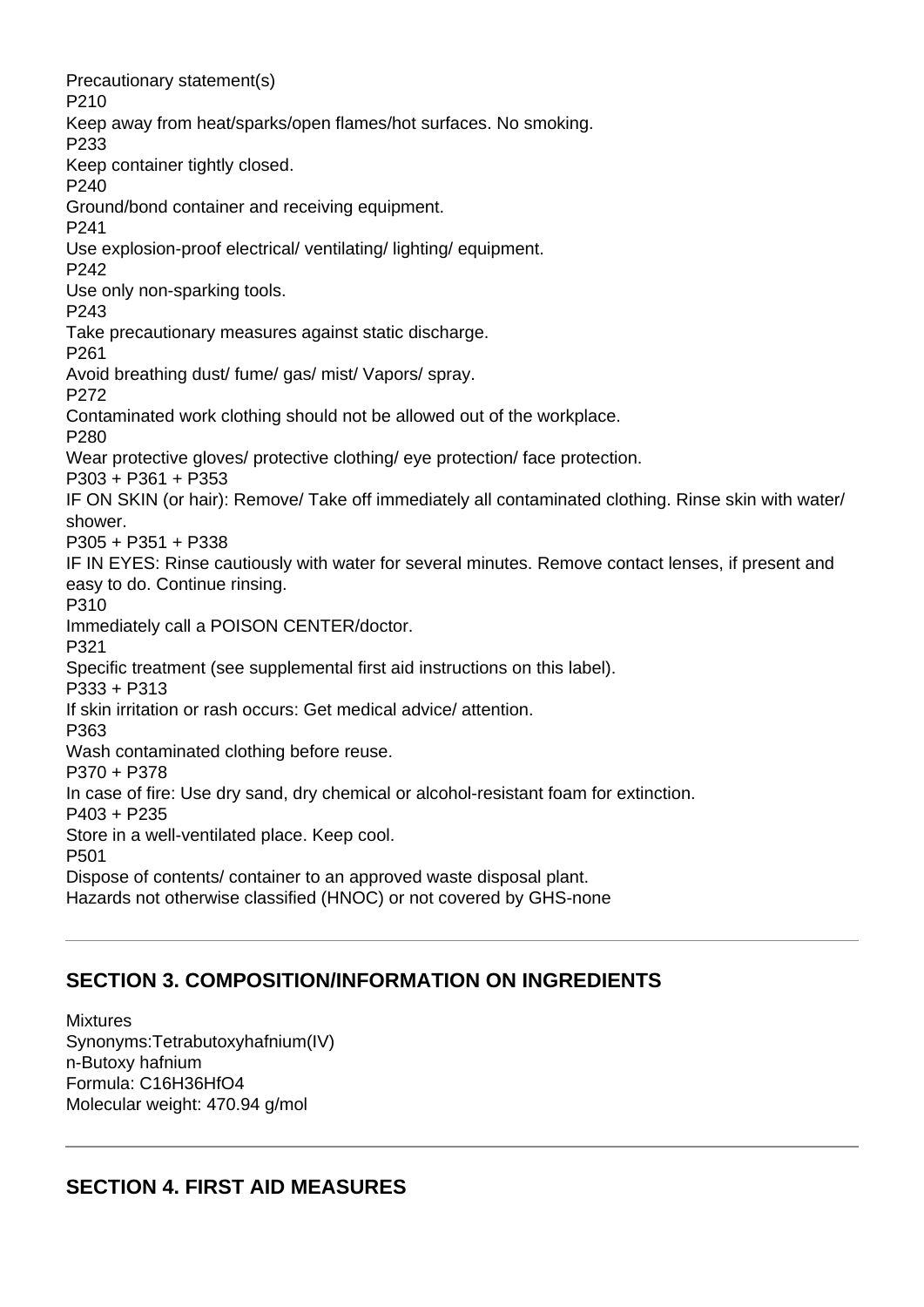Precautionary statement(s) P210 Keep away from heat/sparks/open flames/hot surfaces. No smoking. P233 Keep container tightly closed. P240 Ground/bond container and receiving equipment. P241 Use explosion-proof electrical/ ventilating/ lighting/ equipment. P242 Use only non-sparking tools. P243 Take precautionary measures against static discharge. P261 Avoid breathing dust/ fume/ gas/ mist/ Vapors/ spray. P272 Contaminated work clothing should not be allowed out of the workplace. P280 Wear protective gloves/ protective clothing/ eye protection/ face protection. P303 + P361 + P353 IF ON SKIN (or hair): Remove/ Take off immediately all contaminated clothing. Rinse skin with water/ shower. P305 + P351 + P338 IF IN EYES: Rinse cautiously with water for several minutes. Remove contact lenses, if present and easy to do. Continue rinsing. P310 Immediately call a POISON CENTER/doctor. P321 Specific treatment (see supplemental first aid instructions on this label). P333 + P313 If skin irritation or rash occurs: Get medical advice/ attention. P363 Wash contaminated clothing before reuse. P370 + P378 In case of fire: Use dry sand, dry chemical or alcohol-resistant foam for extinction. P403 + P235 Store in a well-ventilated place. Keep cool. P501 Dispose of contents/ container to an approved waste disposal plant. Hazards not otherwise classified (HNOC) or not covered by GHS-none

#### **SECTION 3. COMPOSITION/INFORMATION ON INGREDIENTS**

Mixtures Synonyms:Tetrabutoxyhafnium(IV) n-Butoxy hafnium Formula: C16H36HfO4 Molecular weight: 470.94 g/mol

## **SECTION 4. FIRST AID MEASURES**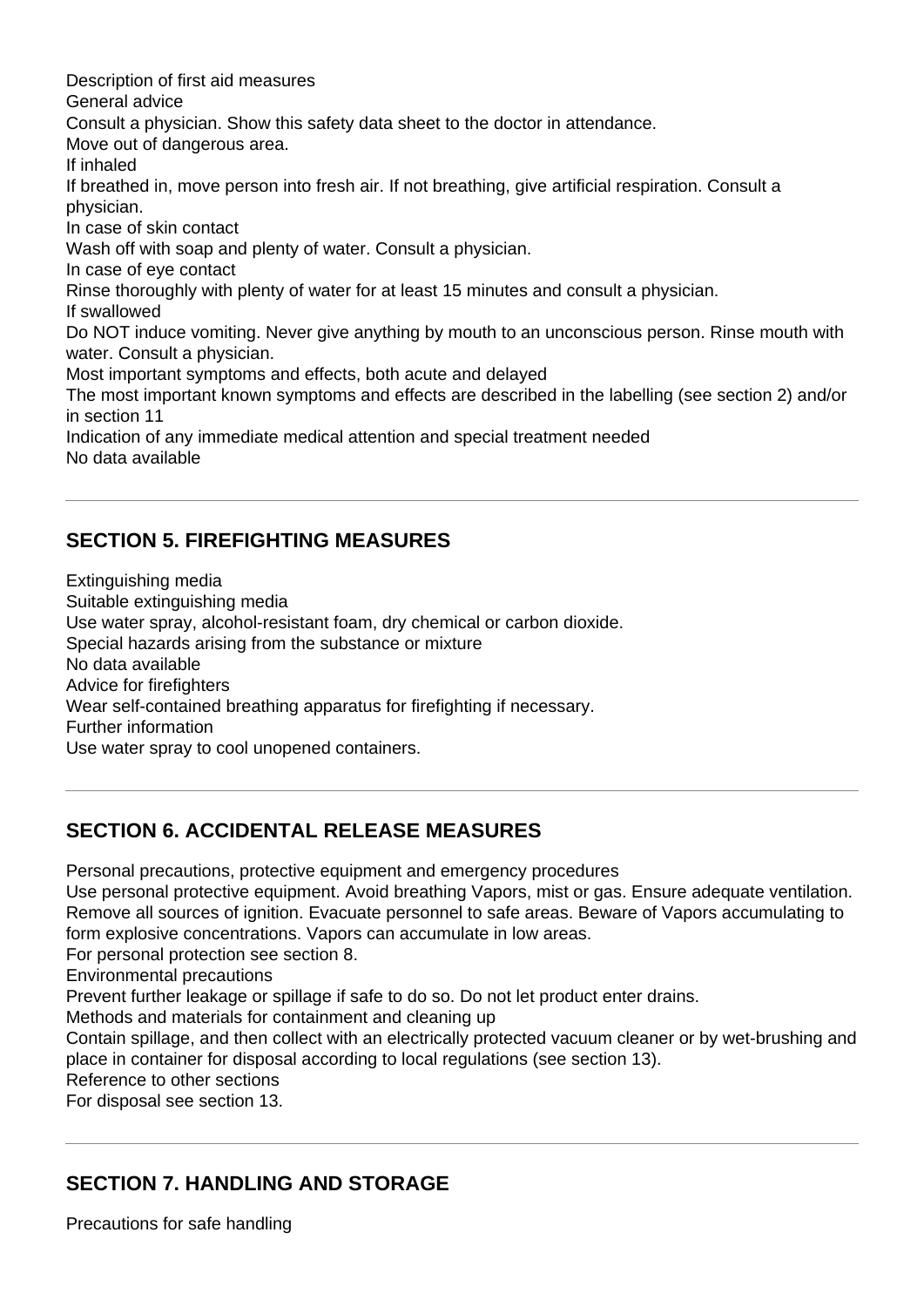Description of first aid measures General advice Consult a physician. Show this safety data sheet to the doctor in attendance. Move out of dangerous area. If inhaled If breathed in, move person into fresh air. If not breathing, give artificial respiration. Consult a physician. In case of skin contact Wash off with soap and plenty of water. Consult a physician. In case of eye contact Rinse thoroughly with plenty of water for at least 15 minutes and consult a physician. If swallowed Do NOT induce vomiting. Never give anything by mouth to an unconscious person. Rinse mouth with water. Consult a physician. Most important symptoms and effects, both acute and delayed The most important known symptoms and effects are described in the labelling (see section 2) and/or in section 11 Indication of any immediate medical attention and special treatment needed No data available

## **SECTION 5. FIREFIGHTING MEASURES**

Extinguishing media Suitable extinguishing media Use water spray, alcohol-resistant foam, dry chemical or carbon dioxide. Special hazards arising from the substance or mixture No data available Advice for firefighters Wear self-contained breathing apparatus for firefighting if necessary. Further information Use water spray to cool unopened containers.

## **SECTION 6. ACCIDENTAL RELEASE MEASURES**

Personal precautions, protective equipment and emergency procedures

Use personal protective equipment. Avoid breathing Vapors, mist or gas. Ensure adequate ventilation. Remove all sources of ignition. Evacuate personnel to safe areas. Beware of Vapors accumulating to form explosive concentrations. Vapors can accumulate in low areas.

For personal protection see section 8.

Environmental precautions

Prevent further leakage or spillage if safe to do so. Do not let product enter drains.

Methods and materials for containment and cleaning up

Contain spillage, and then collect with an electrically protected vacuum cleaner or by wet-brushing and place in container for disposal according to local regulations (see section 13).

Reference to other sections

For disposal see section 13.

## **SECTION 7. HANDLING AND STORAGE**

Precautions for safe handling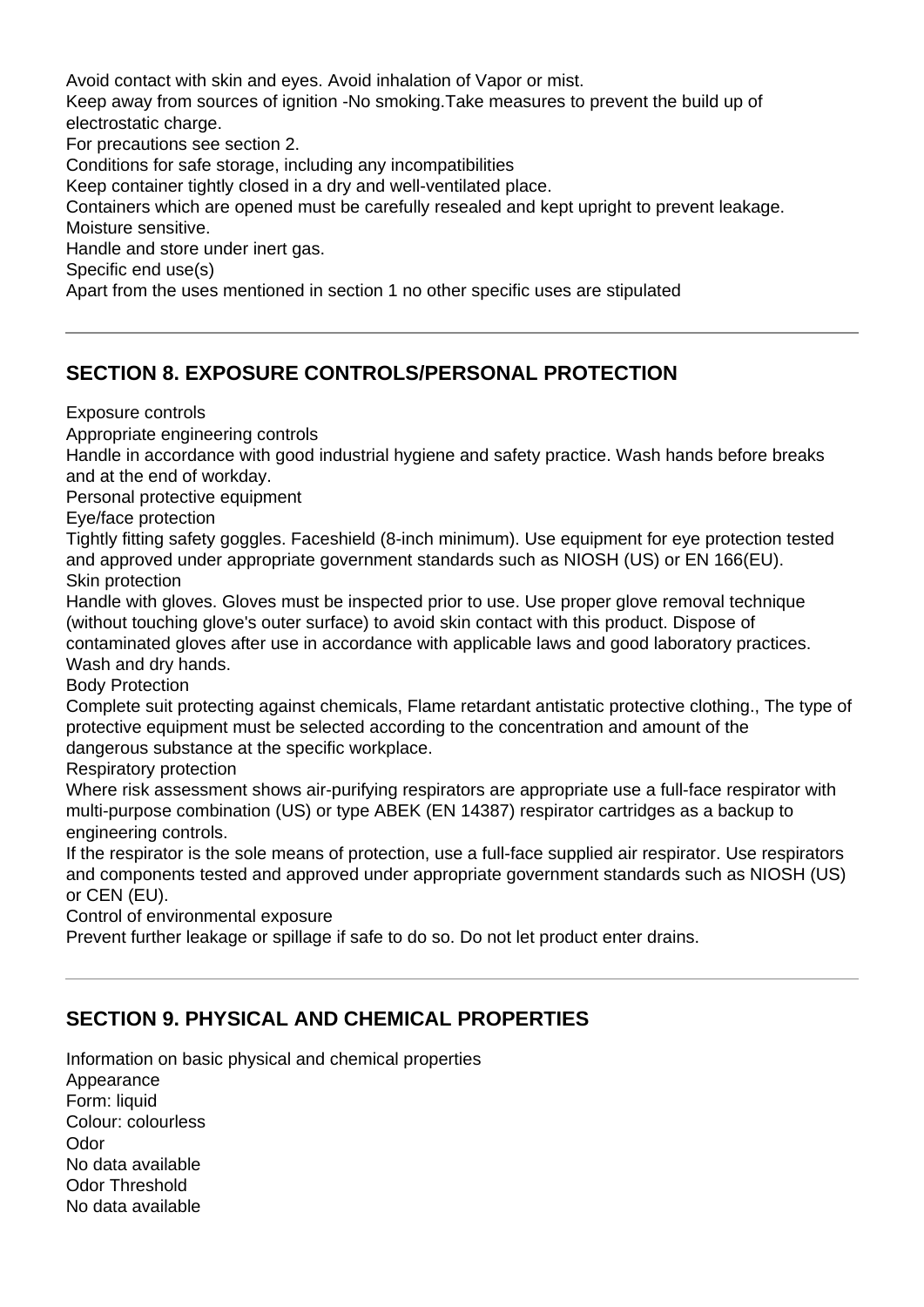Avoid contact with skin and eyes. Avoid inhalation of Vapor or mist. Keep away from sources of ignition -No smoking.Take measures to prevent the build up of electrostatic charge. For precautions see section 2. Conditions for safe storage, including any incompatibilities Keep container tightly closed in a dry and well-ventilated place. Containers which are opened must be carefully resealed and kept upright to prevent leakage. Moisture sensitive. Handle and store under inert gas. Specific end use(s) Apart from the uses mentioned in section 1 no other specific uses are stipulated

# **SECTION 8. EXPOSURE CONTROLS/PERSONAL PROTECTION**

Exposure controls

Appropriate engineering controls

Handle in accordance with good industrial hygiene and safety practice. Wash hands before breaks and at the end of workday.

Personal protective equipment

Eye/face protection

Tightly fitting safety goggles. Faceshield (8-inch minimum). Use equipment for eye protection tested and approved under appropriate government standards such as NIOSH (US) or EN 166(EU). Skin protection

Handle with gloves. Gloves must be inspected prior to use. Use proper glove removal technique (without touching glove's outer surface) to avoid skin contact with this product. Dispose of contaminated gloves after use in accordance with applicable laws and good laboratory practices. Wash and dry hands.

Body Protection

Complete suit protecting against chemicals, Flame retardant antistatic protective clothing., The type of protective equipment must be selected according to the concentration and amount of the dangerous substance at the specific workplace.

Respiratory protection

Where risk assessment shows air-purifying respirators are appropriate use a full-face respirator with multi-purpose combination (US) or type ABEK (EN 14387) respirator cartridges as a backup to engineering controls.

If the respirator is the sole means of protection, use a full-face supplied air respirator. Use respirators and components tested and approved under appropriate government standards such as NIOSH (US) or CEN (EU).

Control of environmental exposure

Prevent further leakage or spillage if safe to do so. Do not let product enter drains.

## **SECTION 9. PHYSICAL AND CHEMICAL PROPERTIES**

Information on basic physical and chemical properties Appearance Form: liquid Colour: colourless **Odor** No data available Odor Threshold No data available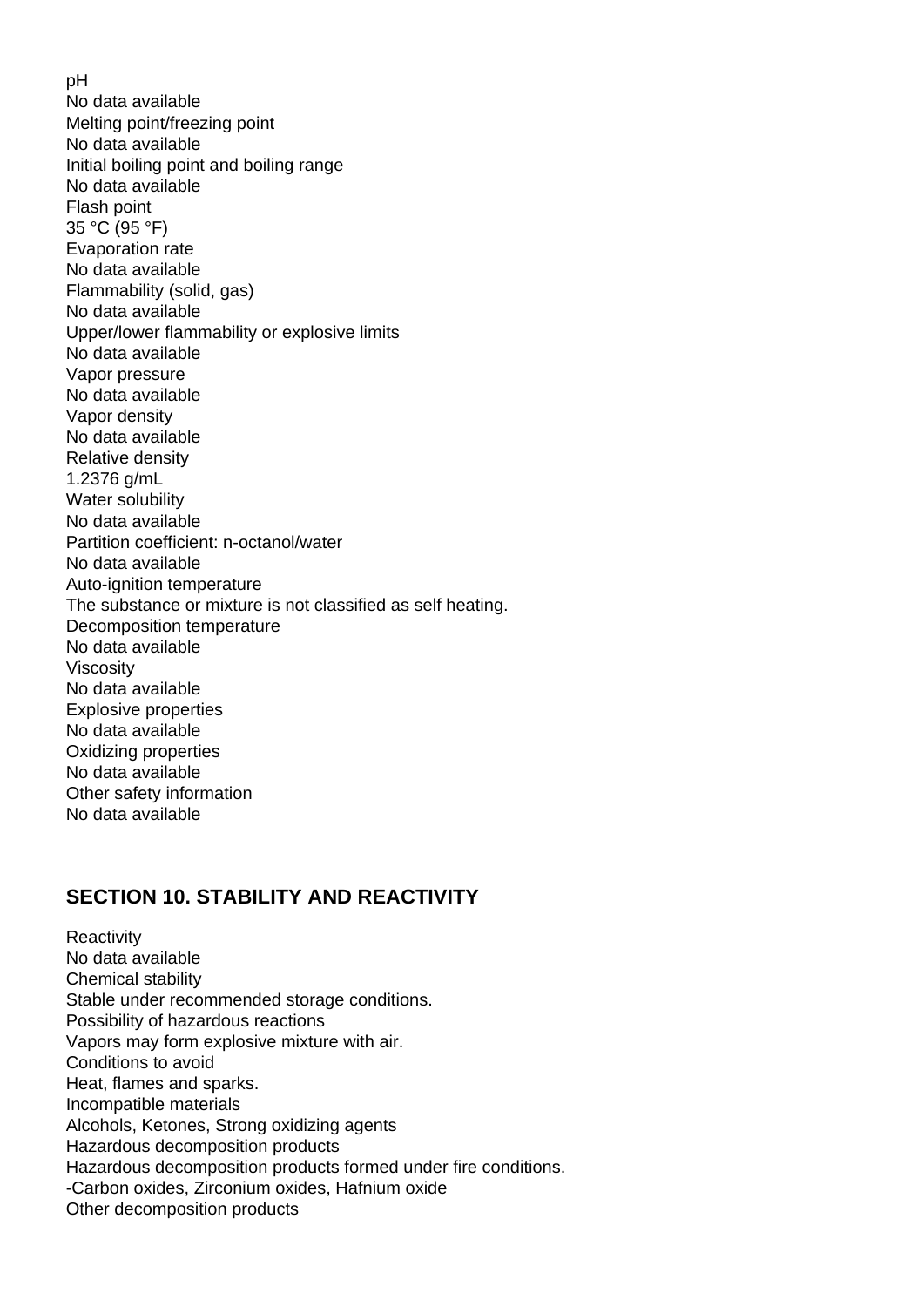pH No data available Melting point/freezing point No data available Initial boiling point and boiling range No data available Flash point 35 °C (95 °F) Evaporation rate No data available Flammability (solid, gas) No data available Upper/lower flammability or explosive limits No data available Vapor pressure No data available Vapor density No data available Relative density 1.2376 g/mL Water solubility No data available Partition coefficient: n-octanol/water No data available Auto-ignition temperature The substance or mixture is not classified as self heating. Decomposition temperature No data available Viscosity No data available Explosive properties No data available Oxidizing properties No data available Other safety information No data available

#### **SECTION 10. STABILITY AND REACTIVITY**

**Reactivity** No data available Chemical stability Stable under recommended storage conditions. Possibility of hazardous reactions Vapors may form explosive mixture with air. Conditions to avoid Heat, flames and sparks. Incompatible materials Alcohols, Ketones, Strong oxidizing agents Hazardous decomposition products Hazardous decomposition products formed under fire conditions. -Carbon oxides, Zirconium oxides, Hafnium oxide Other decomposition products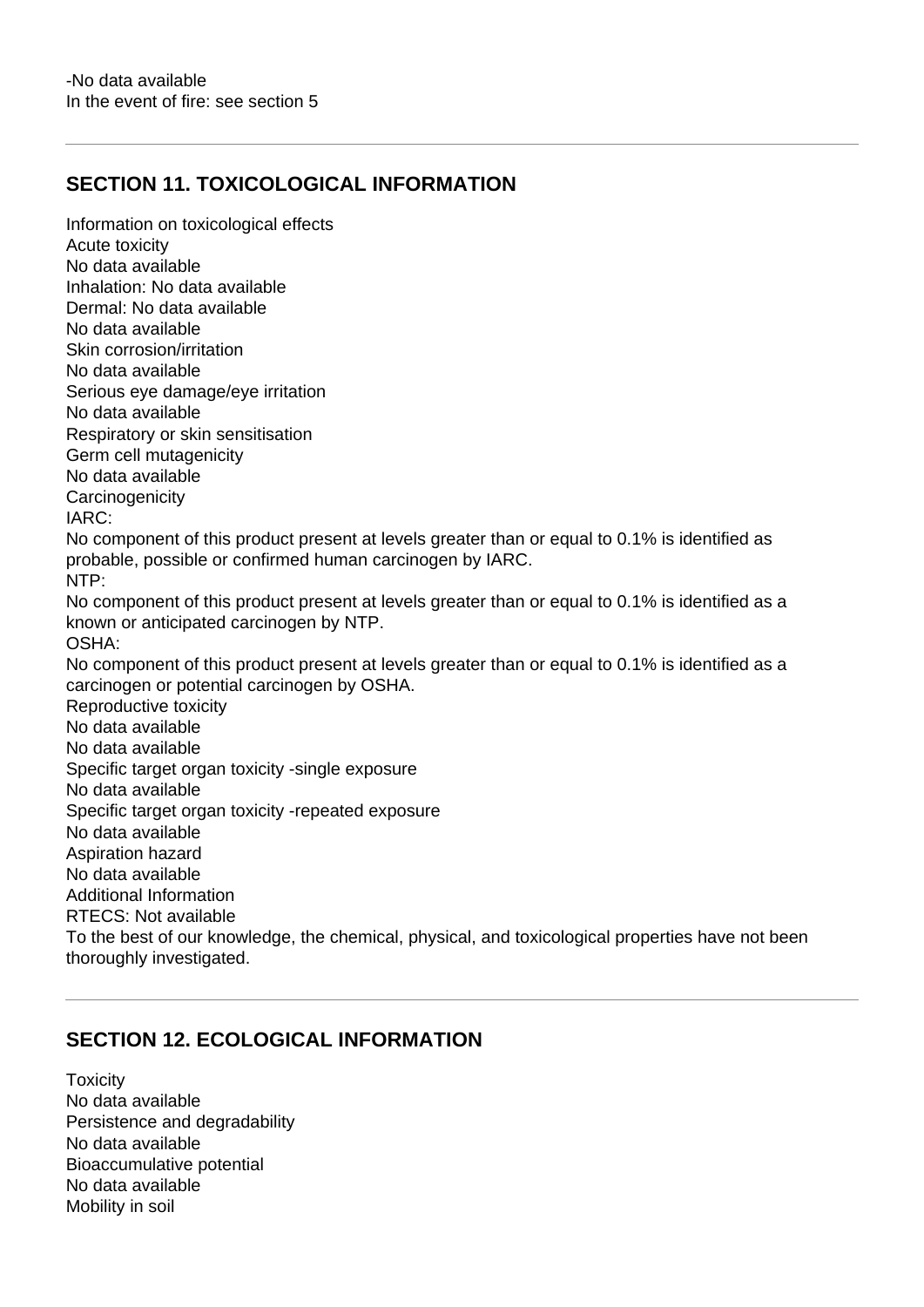#### **SECTION 11. TOXICOLOGICAL INFORMATION**

Information on toxicological effects Acute toxicity No data available Inhalation: No data available Dermal: No data available No data available Skin corrosion/irritation No data available Serious eye damage/eye irritation No data available Respiratory or skin sensitisation Germ cell mutagenicity No data available **Carcinogenicity** IARC: No component of this product present at levels greater than or equal to 0.1% is identified as probable, possible or confirmed human carcinogen by IARC. NTP: No component of this product present at levels greater than or equal to 0.1% is identified as a known or anticipated carcinogen by NTP. OSHA: No component of this product present at levels greater than or equal to 0.1% is identified as a carcinogen or potential carcinogen by OSHA. Reproductive toxicity No data available No data available Specific target organ toxicity -single exposure No data available Specific target organ toxicity -repeated exposure No data available Aspiration hazard No data available Additional Information RTECS: Not available To the best of our knowledge, the chemical, physical, and toxicological properties have not been thoroughly investigated.

#### **SECTION 12. ECOLOGICAL INFORMATION**

**Toxicity** No data available Persistence and degradability No data available Bioaccumulative potential No data available Mobility in soil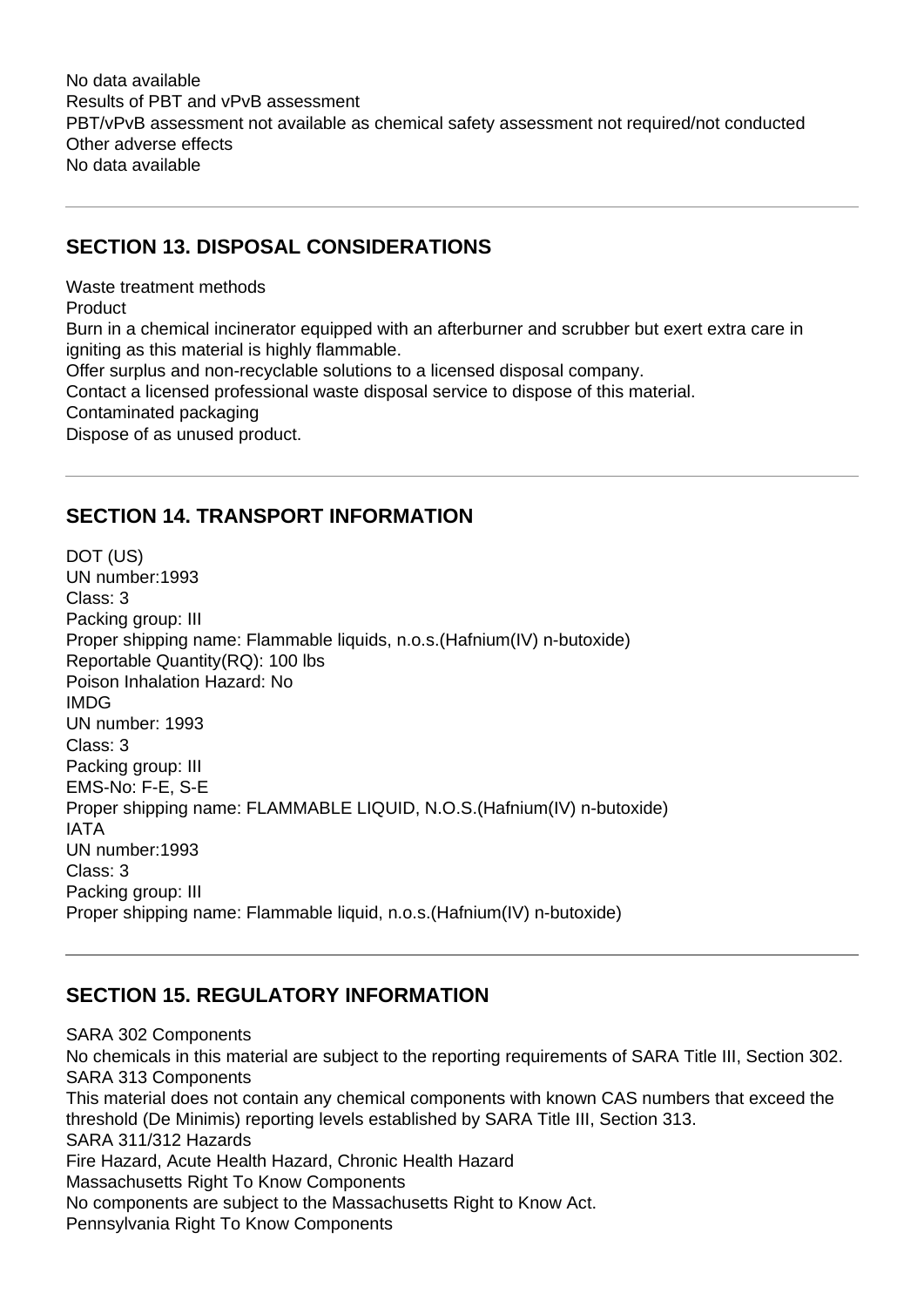No data available Results of PBT and vPvB assessment PBT/vPvB assessment not available as chemical safety assessment not required/not conducted Other adverse effects No data available

## **SECTION 13. DISPOSAL CONSIDERATIONS**

Waste treatment methods Product Burn in a chemical incinerator equipped with an afterburner and scrubber but exert extra care in igniting as this material is highly flammable. Offer surplus and non-recyclable solutions to a licensed disposal company. Contact a licensed professional waste disposal service to dispose of this material. Contaminated packaging Dispose of as unused product.

## **SECTION 14. TRANSPORT INFORMATION**

DOT (US) UN number:1993 Class: 3 Packing group: III Proper shipping name: Flammable liquids, n.o.s.(Hafnium(IV) n-butoxide) Reportable Quantity(RQ): 100 lbs Poison Inhalation Hazard: No IMDG UN number: 1993 Class: 3 Packing group: III EMS-No: F-E, S-E Proper shipping name: FLAMMABLE LIQUID, N.O.S.(Hafnium(IV) n-butoxide) IATA UN number:1993 Class: 3 Packing group: III Proper shipping name: Flammable liquid, n.o.s.(Hafnium(IV) n-butoxide)

# **SECTION 15. REGULATORY INFORMATION**

SARA 302 Components No chemicals in this material are subject to the reporting requirements of SARA Title III, Section 302. SARA 313 Components This material does not contain any chemical components with known CAS numbers that exceed the threshold (De Minimis) reporting levels established by SARA Title III, Section 313. SARA 311/312 Hazards Fire Hazard, Acute Health Hazard, Chronic Health Hazard Massachusetts Right To Know Components No components are subject to the Massachusetts Right to Know Act. Pennsylvania Right To Know Components